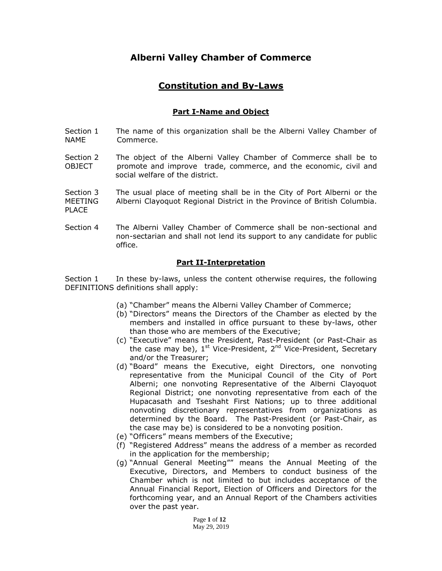# **Alberni Valley Chamber of Commerce**

# **Constitution and By-Laws**

# **Part I-Name and Object**

- Section 1 The name of this organization shall be the Alberni Valley Chamber of NAME Commerce.
- Section 2 The object of the Alberni Valley Chamber of Commerce shall be to OBJECT promote and improve trade, commerce, and the economic, civil and social welfare of the district.
- Section 3 The usual place of meeting shall be in the City of Port Alberni or the MEETING Alberni Clayoquot Regional District in the Province of British Columbia. PLACE
- Section 4 The Alberni Valley Chamber of Commerce shall be non-sectional and non-sectarian and shall not lend its support to any candidate for public office.

# **Part II-Interpretation**

Section 1 In these by-laws, unless the content otherwise requires, the following DEFINITIONS definitions shall apply:

- (a) "Chamber" means the Alberni Valley Chamber of Commerce;
- (b) "Directors" means the Directors of the Chamber as elected by the members and installed in office pursuant to these by-laws, other than those who are members of the Executive;
- (c) "Executive" means the President, Past-President (or Past-Chair as the case may be), 1<sup>st</sup> Vice-President, 2<sup>nd</sup> Vice-President, Secretary and/or the Treasurer;
- (d) "Board" means the Executive, eight Directors, one nonvoting representative from the Municipal Council of the City of Port Alberni; one nonvoting Representative of the Alberni Clayoquot Regional District; one nonvoting representative from each of the Hupacasath and Tseshaht First Nations; up to three additional nonvoting discretionary representatives from organizations as determined by the Board. The Past-President (or Past-Chair, as the case may be) is considered to be a nonvoting position.
- (e) "Officers" means members of the Executive;
- (f) "Registered Address" means the address of a member as recorded in the application for the membership;
- (g) "Annual General Meeting"" means the Annual Meeting of the Executive, Directors, and Members to conduct business of the Chamber which is not limited to but includes acceptance of the Annual Financial Report, Election of Officers and Directors for the forthcoming year, and an Annual Report of the Chambers activities over the past year.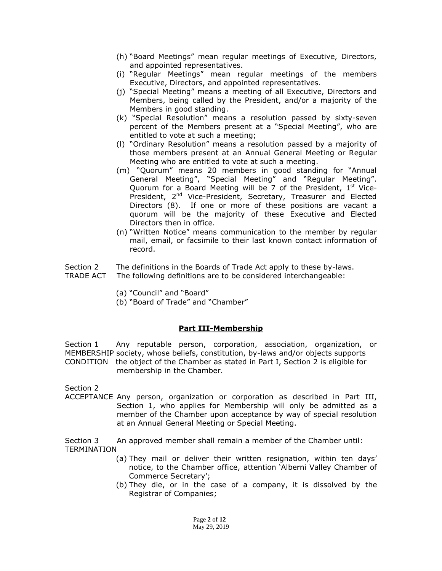- (h) "Board Meetings" mean regular meetings of Executive, Directors, and appointed representatives.
- (i) "Regular Meetings" mean regular meetings of the members Executive, Directors, and appointed representatives.
- (j) "Special Meeting" means a meeting of all Executive, Directors and Members, being called by the President, and/or a majority of the Members in good standing.
- (k) "Special Resolution" means a resolution passed by sixty-seven percent of the Members present at a "Special Meeting", who are entitled to vote at such a meeting;
- (l) "Ordinary Resolution" means a resolution passed by a majority of those members present at an Annual General Meeting or Regular Meeting who are entitled to vote at such a meeting.
- (m) "Quorum" means 20 members in good standing for "Annual General Meeting", "Special Meeting" and "Regular Meeting". Quorum for a Board Meeting will be  $7$  of the President,  $1<sup>st</sup>$  Vice-President, 2<sup>nd</sup> Vice-President, Secretary, Treasurer and Elected Directors (8). If one or more of these positions are vacant a quorum will be the majority of these Executive and Elected Directors then in office.
- (n) "Written Notice" means communication to the member by regular mail, email, or facsimile to their last known contact information of record.
- Section 2 The definitions in the Boards of Trade Act apply to these by-laws.
- TRADE ACT The following definitions are to be considered interchangeable:
	- (a) "Council" and "Board"
	- (b) "Board of Trade" and "Chamber"

#### **Part III-Membership**

Section 1 Any reputable person, corporation, association, organization, or MEMBERSHIP society, whose beliefs, constitution, by-laws and/or objects supports CONDITION the object of the Chamber as stated in Part I, Section 2 is eligible for membership in the Chamber.

Section 2

ACCEPTANCE Any person, organization or corporation as described in Part III, Section 1, who applies for Membership will only be admitted as a member of the Chamber upon acceptance by way of special resolution at an Annual General Meeting or Special Meeting.

Section 3 An approved member shall remain a member of the Chamber until: TERMINATION

- (a) They mail or deliver their written resignation, within ten days' notice, to the Chamber office, attention 'Alberni Valley Chamber of Commerce Secretary';
- (b) They die, or in the case of a company, it is dissolved by the Registrar of Companies;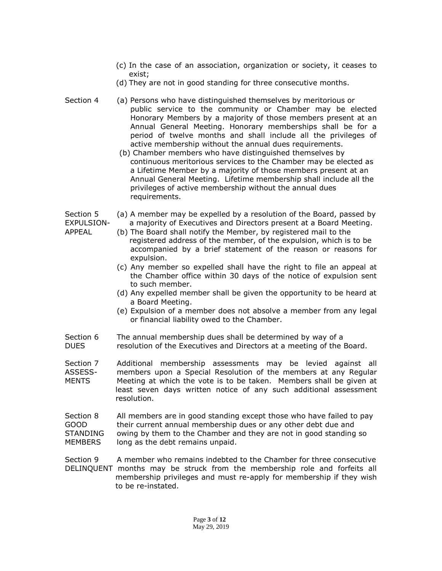- (c) In the case of an association, organization or society, it ceases to exist;
- (d) They are not in good standing for three consecutive months.
- Section 4 (a) Persons who have distinguished themselves by meritorious or public service to the community or Chamber may be elected Honorary Members by a majority of those members present at an Annual General Meeting. Honorary memberships shall be for a period of twelve months and shall include all the privileges of active membership without the annual dues requirements.
	- (b) Chamber members who have distinguished themselves by continuous meritorious services to the Chamber may be elected as a Lifetime Member by a majority of those members present at an Annual General Meeting. Lifetime membership shall include all the privileges of active membership without the annual dues requirements.
- Section 5 (a) A member may be expelled by a resolution of the Board, passed by EXPULSION- a majority of Executives and Directors present at a Board Meeting.
- APPEAL (b) The Board shall notify the Member, by registered mail to the registered address of the member, of the expulsion, which is to be accompanied by a brief statement of the reason or reasons for expulsion.
	- (c) Any member so expelled shall have the right to file an appeal at the Chamber office within 30 days of the notice of expulsion sent to such member.
	- (d) Any expelled member shall be given the opportunity to be heard at a Board Meeting.
	- (e) Expulsion of a member does not absolve a member from any legal or financial liability owed to the Chamber.
- Section 6 The annual membership dues shall be determined by way of a DUES resolution of the Executives and Directors at a meeting of the Board.
- Section 7 Additional membership assessments may be levied against all ASSESS- members upon a Special Resolution of the members at any Regular MENTS Meeting at which the vote is to be taken. Members shall be given at least seven days written notice of any such additional assessment resolution.
- Section 8 All members are in good standing except those who have failed to pay GOOD their current annual membership dues or any other debt due and STANDING owing by them to the Chamber and they are not in good standing so MEMBERS long as the debt remains unpaid.

Section 9 A member who remains indebted to the Chamber for three consecutive DELINQUENT months may be struck from the membership role and forfeits all membership privileges and must re-apply for membership if they wish to be re-instated.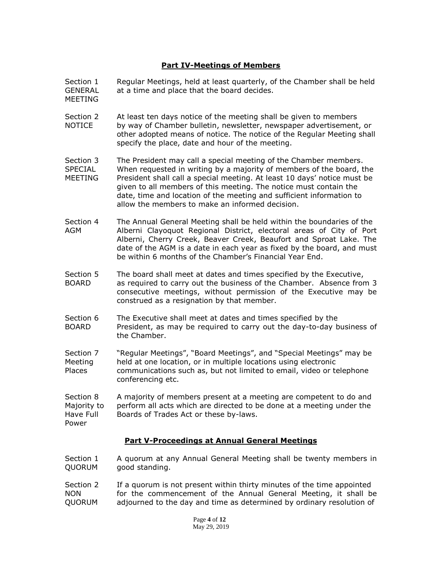# **Part IV-Meetings of Members**

Section 1 Regular Meetings, held at least quarterly, of the Chamber shall be held GENERAL at a time and place that the board decides.

MEETING

- Section 2 At least ten days notice of the meeting shall be given to members NOTICE by way of Chamber bulletin, newsletter, newspaper advertisement, or other adopted means of notice. The notice of the Regular Meeting shall specify the place, date and hour of the meeting.
- Section 3 The President may call a special meeting of the Chamber members. SPECIAL When requested in writing by a majority of members of the board, the MEETING President shall call a special meeting. At least 10 days' notice must be given to all members of this meeting. The notice must contain the date, time and location of the meeting and sufficient information to allow the members to make an informed decision.
- Section 4 The Annual General Meeting shall be held within the boundaries of the AGM Alberni Clayoquot Regional District, electoral areas of City of Port Alberni, Cherry Creek, Beaver Creek, Beaufort and Sproat Lake. The date of the AGM is a date in each year as fixed by the board, and must be within 6 months of the Chamber's Financial Year End.
- Section 5 The board shall meet at dates and times specified by the Executive, BOARD as required to carry out the business of the Chamber. Absence from 3 consecutive meetings, without permission of the Executive may be construed as a resignation by that member.
- Section 6 The Executive shall meet at dates and times specified by the BOARD President, as may be required to carry out the day-to-day business of the Chamber.
- Section 7 "Regular Meetings", "Board Meetings", and "Special Meetings" may be Meeting held at one location, or in multiple locations using electronic Places communications such as, but not limited to email, video or telephone conferencing etc.

Section 8 A majority of members present at a meeting are competent to do and Majority to perform all acts which are directed to be done at a meeting under the Have Full Boards of Trades Act or these by-laws. Power

#### **Part V-Proceedings at Annual General Meetings**

- Section 1 A quorum at any Annual General Meeting shall be twenty members in QUORUM good standing.
- Section 2 If a quorum is not present within thirty minutes of the time appointed NON for the commencement of the Annual General Meeting, it shall be QUORUM adjourned to the day and time as determined by ordinary resolution of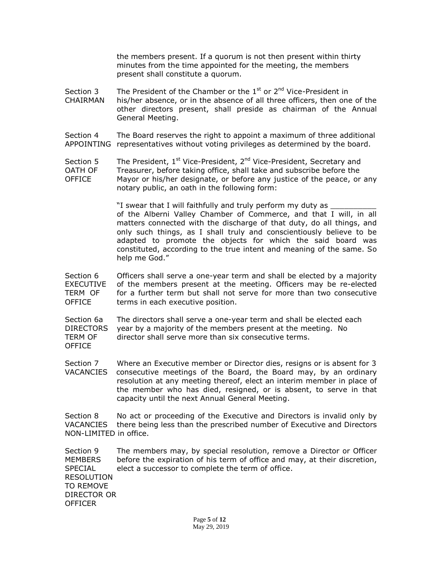the members present. If a quorum is not then present within thirty minutes from the time appointed for the meeting, the members present shall constitute a quorum.

- Section 3 The President of the Chamber or the  $1<sup>st</sup>$  or  $2<sup>nd</sup>$  Vice-President in CHAIRMAN his/her absence, or in the absence of all three officers, then one of the other directors present, shall preside as chairman of the Annual General Meeting.
- Section 4 The Board reserves the right to appoint a maximum of three additional APPOINTING representatives without voting privileges as determined by the board.
- Section 5 The President,  $1^{st}$  Vice-President,  $2^{nd}$  Vice-President, Secretary and OATH OF Treasurer, before taking office, shall take and subscribe before the OFFICE Mayor or his/her designate, or before any justice of the peace, or any notary public, an oath in the following form:

"I swear that I will faithfully and truly perform my duty as of the Alberni Valley Chamber of Commerce, and that I will, in all matters connected with the discharge of that duty, do all things, and only such things, as I shall truly and conscientiously believe to be adapted to promote the objects for which the said board was constituted, according to the true intent and meaning of the same. So help me God."

- Section 6 Officers shall serve a one-year term and shall be elected by a majority EXECUTIVE of the members present at the meeting. Officers may be re-elected TERM OF for a further term but shall not serve for more than two consecutive OFFICE terms in each executive position.
- Section 6a The directors shall serve a one-year term and shall be elected each DIRECTORS year by a majority of the members present at the meeting. No TERM OF director shall serve more than six consecutive terms. OFFICE
- Section 7 Where an Executive member or Director dies, resigns or is absent for 3 VACANCIES consecutive meetings of the Board, the Board may, by an ordinary resolution at any meeting thereof, elect an interim member in place of the member who has died, resigned, or is absent, to serve in that capacity until the next Annual General Meeting.

Section 8 No act or proceeding of the Executive and Directors is invalid only by VACANCIES there being less than the prescribed number of Executive and Directors NON-LIMITED in office.

Section 9 The members may, by special resolution, remove a Director or Officer MEMBERS before the expiration of his term of office and may, at their discretion, SPECIAL elect a successor to complete the term of office. RESOLUTION TO REMOVE DIRECTOR OR **OFFICER**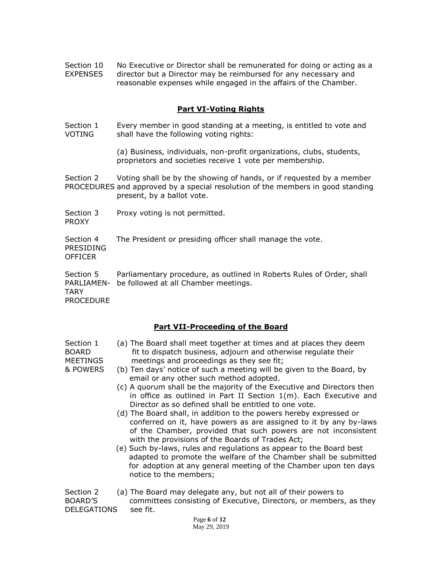Section 10 No Executive or Director shall be remunerated for doing or acting as a EXPENSES director but a Director may be reimbursed for any necessary and reasonable expenses while engaged in the affairs of the Chamber.

# **Part VI-Voting Rights**

Section 1 Every member in good standing at a meeting, is entitled to vote and VOTING shall have the following voting rights:

> (a) Business, individuals, non-profit organizations, clubs, students, proprietors and societies receive 1 vote per membership.

Section 2 Voting shall be by the showing of hands, or if requested by a member PROCEDURES and approved by a special resolution of the members in good standing present, by a ballot vote.

Section 3 Proxy voting is not permitted. PROXY

Section 4 The President or presiding officer shall manage the vote. PRESIDING

OFFICER

Section 5 Parliamentary procedure, as outlined in Roberts Rules of Order, shall PARLIAMEN- be followed at all Chamber meetings. TARY

PROCEDURE

# **Part VII-Proceeding of the Board**

| Section 1 | (a) The Board shall meet together at times and at places they deem |
|-----------|--------------------------------------------------------------------|
| BOARD     | fit to dispatch business, adjourn and otherwise regulate their     |
| MEETINGS  | meetings and proceedings as they see fit;                          |

- & POWERS (b) Ten days' notice of such a meeting will be given to the Board, by email or any other such method adopted.
	- (c) A quorum shall be the majority of the Executive and Directors then in office as outlined in Part II Section 1(m). Each Executive and Director as so defined shall be entitled to one vote.
	- (d) The Board shall, in addition to the powers hereby expressed or conferred on it, have powers as are assigned to it by any by-laws of the Chamber, provided that such powers are not inconsistent with the provisions of the Boards of Trades Act;
	- (e) Such by-laws, rules and regulations as appear to the Board best adapted to promote the welfare of the Chamber shall be submitted for adoption at any general meeting of the Chamber upon ten days notice to the members;

Section 2 (a) The Board may delegate any, but not all of their powers to BOARD'S committees consisting of Executive, Directors, or members, as they DELEGATIONS see fit.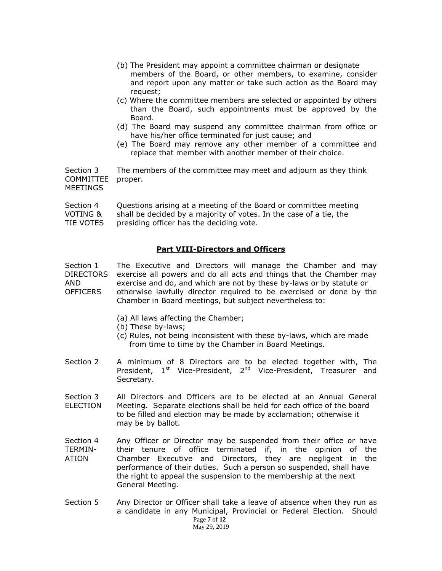- (b) The President may appoint a committee chairman or designate members of the Board, or other members, to examine, consider and report upon any matter or take such action as the Board may request;
- (c) Where the committee members are selected or appointed by others than the Board, such appointments must be approved by the Board.
- (d) The Board may suspend any committee chairman from office or have his/her office terminated for just cause; and
- (e) The Board may remove any other member of a committee and replace that member with another member of their choice.

Section 3 The members of the committee may meet and adjourn as they think COMMITTEE proper. MEETINGS

Section 4 Questions arising at a meeting of the Board or committee meeting<br>VOTING & shall be decided by a majority of votes. In the case of a tie, the shall be decided by a majority of votes. In the case of a tie, the TIE VOTES presiding officer has the deciding vote.

#### **Part VIII-Directors and Officers**

Section 1 The Executive and Directors will manage the Chamber and may DIRECTORS exercise all powers and do all acts and things that the Chamber may AND exercise and do, and which are not by these by-laws or by statute or OFFICERS otherwise lawfully director required to be exercised or done by the Chamber in Board meetings, but subject nevertheless to:

- (a) All laws affecting the Chamber;
- (b) These by-laws;
- (c) Rules, not being inconsistent with these by-laws, which are made from time to time by the Chamber in Board Meetings.
- Section 2 A minimum of 8 Directors are to be elected together with, The President, 1<sup>st</sup> Vice-President, 2<sup>nd</sup> Vice-President, Treasurer and Secretary.
- Section 3 All Directors and Officers are to be elected at an Annual General ELECTION Meeting. Separate elections shall be held for each office of the board to be filled and election may be made by acclamation; otherwise it may be by ballot.
- Section 4 Any Officer or Director may be suspended from their office or have TERMIN- their tenure of office terminated if, in the opinion of the ATION Chamber Executive and Directors, they are negligent in the performance of their duties. Such a person so suspended, shall have the right to appeal the suspension to the membership at the next General Meeting.
- Page **7** of **12**  May 29, 2019 Section 5 Any Director or Officer shall take a leave of absence when they run as a candidate in any Municipal, Provincial or Federal Election. Should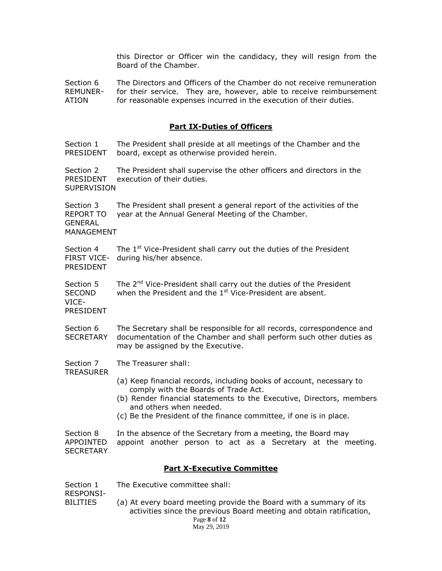this Director or Officer win the candidacy, they will resign from the Board of the Chamber.

Section 6 The Directors and Officers of the Chamber do not receive remuneration REMUNER- for their service. They are, however, able to receive reimbursement ATION for reasonable expenses incurred in the execution of their duties.

#### **Part IX-Duties of Officers**

Section 1 The President shall preside at all meetings of the Chamber and the PRESIDENT board, except as otherwise provided herein.

Section 2 The President shall supervise the other officers and directors in the PRESIDENT execution of their duties. **SUPERVISION** 

Section 3 The President shall present a general report of the activities of the REPORT TO year at the Annual General Meeting of the Chamber. **GENERAL** MANAGEMENT

Section 4 The 1<sup>st</sup> Vice-President shall carry out the duties of the President FIRST VICE- during his/her absence. PRESIDENT

Section 5 The 2<sup>nd</sup> Vice-President shall carry out the duties of the President SECOND when the President and the  $1<sup>st</sup>$  Vice-President are absent. VICE-

PRESIDENT

Section 6 The Secretary shall be responsible for all records, correspondence and SECRETARY documentation of the Chamber and shall perform such other duties as may be assigned by the Executive.

Section 7 The Treasurer shall:

**TREASURER** 

- (a) Keep financial records, including books of account, necessary to comply with the Boards of Trade Act.
- (b) Render financial statements to the Executive, Directors, members and others when needed.
- (c) Be the President of the finance committee, if one is in place.

Section 8 In the absence of the Secretary from a meeting, the Board may APPOINTED appoint another person to act as a Secretary at the meeting. **SECRETARY** 

#### **Part X-Executive Committee**

RESPONSI-

 Page **8** of **12**  May 29, 2019 BILITIES (a) At every board meeting provide the Board with a summary of its activities since the previous Board meeting and obtain ratification,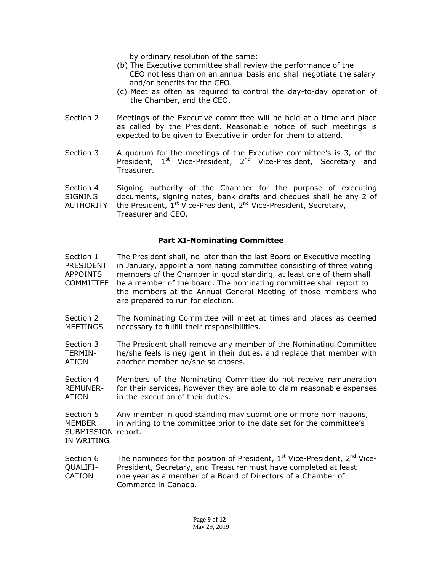by ordinary resolution of the same;

- (b) The Executive committee shall review the performance of the CEO not less than on an annual basis and shall negotiate the salary and/or benefits for the CEO.
- (c) Meet as often as required to control the day-to-day operation of the Chamber, and the CEO.
- Section 2 Meetings of the Executive committee will be held at a time and place as called by the President. Reasonable notice of such meetings is expected to be given to Executive in order for them to attend.
- Section 3 A quorum for the meetings of the Executive committee's is 3, of the President, 1<sup>st</sup> Vice-President, 2<sup>nd</sup> Vice-President, Secretary and Treasurer.

Section 4 Signing authority of the Chamber for the purpose of executing SIGNING documents, signing notes, bank drafts and cheques shall be any 2 of AUTHORITY the President,  $1^{st}$  Vice-President,  $2^{nd}$  Vice-President, Secretary, Treasurer and CEO.

# **Part XI-Nominating Committee**

Section 1 The President shall, no later than the last Board or Executive meeting PRESIDENT in January, appoint a nominating committee consisting of three voting APPOINTS members of the Chamber in good standing, at least one of them shall COMMITTEE be a member of the board. The nominating committee shall report to the members at the Annual General Meeting of those members who are prepared to run for election.

Section 2 The Nominating Committee will meet at times and places as deemed MEETINGS necessary to fulfill their responsibilities.

Section 3 The President shall remove any member of the Nominating Committee TERMIN- he/she feels is negligent in their duties, and replace that member with ATION another member he/she so choses.

Section 4 Members of the Nominating Committee do not receive remuneration REMUNER- for their services, however they are able to claim reasonable expenses ATION in the execution of their duties.

Section 5 Any member in good standing may submit one or more nominations, MEMBER in writing to the committee prior to the date set for the committee's SUBMISSION report. IN WRITING

Section 6 The nominees for the position of President,  $1<sup>st</sup>$  Vice-President,  $2<sup>nd</sup>$  Vice-QUALIFI- President, Secretary, and Treasurer must have completed at least CATION one year as a member of a Board of Directors of a Chamber of Commerce in Canada.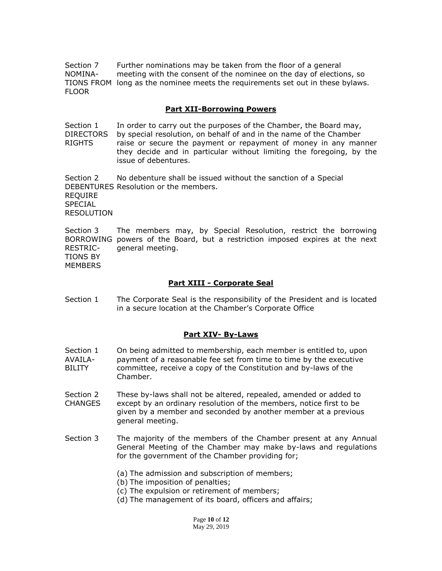Section 7 Further nominations may be taken from the floor of a general NOMINA- meeting with the consent of the nominee on the day of elections, so TIONS FROM long as the nominee meets the requirements set out in these bylaws. FLOOR

### **Part XII-Borrowing Powers**

Section 1 In order to carry out the purposes of the Chamber, the Board may, DIRECTORS by special resolution, on behalf of and in the name of the Chamber RIGHTS raise or secure the payment or repayment of money in any manner they decide and in particular without limiting the foregoing, by the issue of debentures.

Section 2 No debenture shall be issued without the sanction of a Special DEBENTURES Resolution or the members. REQUIRE SPECIAL RESOLUTION

Section 3 The members may, by Special Resolution, restrict the borrowing BORROWING powers of the Board, but a restriction imposed expires at the next RESTRIC- general meeting. TIONS BY **MEMBERS** 

#### **Part XIII - Corporate Seal**

Section 1 The Corporate Seal is the responsibility of the President and is located in a secure location at the Chamber's Corporate Office

#### **Part XIV- By-Laws**

- Section 1 On being admitted to membership, each member is entitled to, upon AVAILA- payment of a reasonable fee set from time to time by the executive BILITY committee, receive a copy of the Constitution and by-laws of the Chamber.
- Section 2 These by-laws shall not be altered, repealed, amended or added to CHANGES except by an ordinary resolution of the members, notice first to be given by a member and seconded by another member at a previous general meeting.
- Section 3 The majority of the members of the Chamber present at any Annual General Meeting of the Chamber may make by-laws and regulations for the government of the Chamber providing for;
	- (a) The admission and subscription of members;
	- (b) The imposition of penalties;
	- (c) The expulsion or retirement of members;
	- (d) The management of its board, officers and affairs;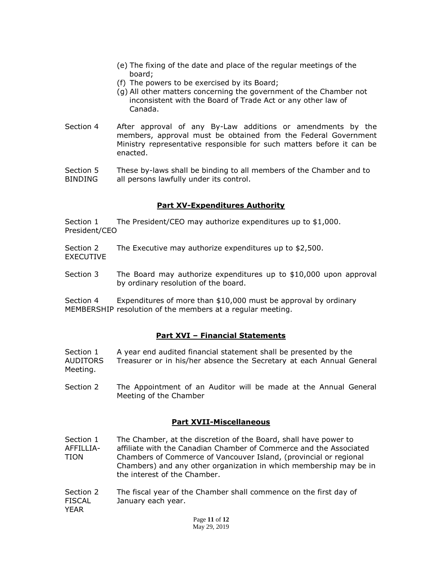- (e) The fixing of the date and place of the regular meetings of the board;
- (f) The powers to be exercised by its Board;
- (g) All other matters concerning the government of the Chamber not inconsistent with the Board of Trade Act or any other law of Canada.
- Section 4 After approval of any By-Law additions or amendments by the members, approval must be obtained from the Federal Government Ministry representative responsible for such matters before it can be enacted.
- Section 5 These by-laws shall be binding to all members of the Chamber and to BINDING all persons lawfully under its control.

# **Part XV-Expenditures Authority**

Section 1 The President/CEO may authorize expenditures up to \$1,000. President/CEO

- Section 2 The Executive may authorize expenditures up to \$2,500. EXECUTIVE
- Section 3 The Board may authorize expenditures up to \$10,000 upon approval by ordinary resolution of the board.

Section 4 Expenditures of more than \$10,000 must be approval by ordinary MEMBERSHIP resolution of the members at a regular meeting.

# **Part XVI – Financial Statements**

Section 1 A year end audited financial statement shall be presented by the AUDITORS Treasurer or in his/her absence the Secretary at each Annual General Meeting.

Section 2 The Appointment of an Auditor will be made at the Annual General Meeting of the Chamber

# **Part XVII-Miscellaneous**

- Section 1 The Chamber, at the discretion of the Board, shall have power to AFFILLIA- affiliate with the Canadian Chamber of Commerce and the Associated TION Chambers of Commerce of Vancouver Island, (provincial or regional Chambers) and any other organization in which membership may be in the interest of the Chamber.
- Section 2 The fiscal year of the Chamber shall commence on the first day of FISCAL January each year. YEAR